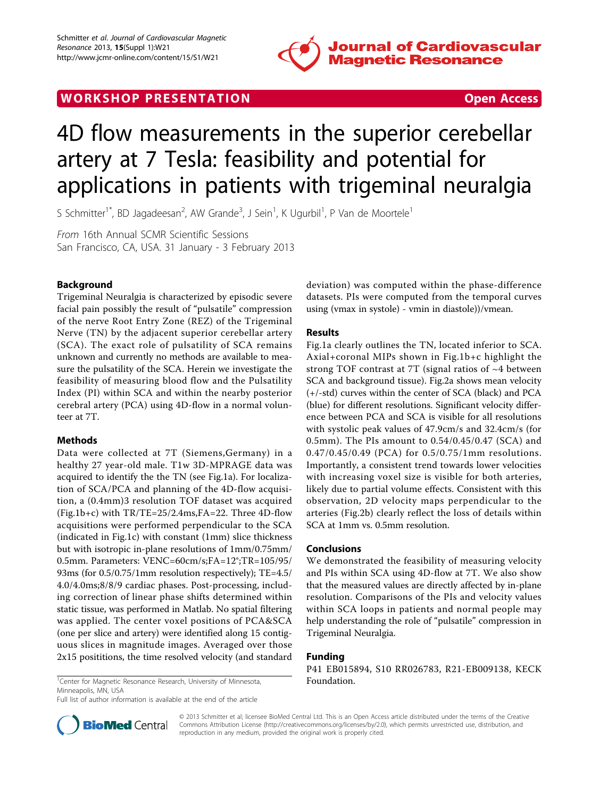

## WORK SHOP PRESENTATION **WORK SHOP PRESENTATION**

# 4D flow measurements in the superior cerebellar artery at 7 Tesla: feasibility and potential for applications in patients with trigeminal neuralgia

S Schmitter<sup>1\*</sup>, BD Jagadeesan<sup>2</sup>, AW Grande<sup>3</sup>, J Sein<sup>1</sup>, K Ugurbil<sup>1</sup>, P Van de Moortele<sup>1</sup>

From 16th Annual SCMR Scientific Sessions San Francisco, CA, USA. 31 January - 3 February 2013

### Background

Trigeminal Neuralgia is characterized by episodic severe facial pain possibly the result of "pulsatile" compression of the nerve Root Entry Zone (REZ) of the Trigeminal Nerve (TN) by the adjacent superior cerebellar artery (SCA). The exact role of pulsatility of SCA remains unknown and currently no methods are available to measure the pulsatility of the SCA. Herein we investigate the feasibility of measuring blood flow and the Pulsatility Index (PI) within SCA and within the nearby posterior cerebral artery (PCA) using 4D-flow in a normal volunteer at 7T.

#### Methods

Data were collected at 7T (Siemens,Germany) in a healthy 27 year-old male. T1w 3D-MPRAGE data was acquired to identify the the TN (see Fig.[1a](#page-1-0)). For localization of SCA/PCA and planning of the 4D-flow acquisition, a (0.4mm)3 resolution TOF dataset was acquired (Fig.[1b+c](#page-1-0)) with TR/TE=25/2.4ms,FA=22. Three 4D-flow acquisitions were performed perpendicular to the SCA (indicated in Fig[.1c\)](#page-1-0) with constant (1mm) slice thickness but with isotropic in-plane resolutions of 1mm/0.75mm/ 0.5mm. Parameters: VENC=60cm/s;FA=12°;TR=105/95/ 93ms (for 0.5/0.75/1mm resolution respectively); TE=4.5/ 4.0/4.0ms;8/8/9 cardiac phases. Post-processing, including correction of linear phase shifts determined within static tissue, was performed in Matlab. No spatial filtering was applied. The center voxel positions of PCA&SCA (one per slice and artery) were identified along 15 contiguous slices in magnitude images. Averaged over those 2x15 posititions, the time resolved velocity (and standard deviation) was computed within the phase-difference datasets. PIs were computed from the temporal curves using (vmax in systole) - vmin in diastole))/vmean.

#### Results

Fig.[1a](#page-1-0) clearly outlines the TN, located inferior to SCA. Axial+coronal MIPs shown in Fig.[1b+c](#page-1-0) highlight the strong TOF contrast at 7T (signal ratios of ~4 between SCA and background tissue). Fig.[2a](#page-2-0) shows mean velocity (+/-std) curves within the center of SCA (black) and PCA (blue) for different resolutions. Significant velocity difference between PCA and SCA is visible for all resolutions with systolic peak values of 47.9cm/s and 32.4cm/s (for 0.5mm). The PIs amount to 0.54/0.45/0.47 (SCA) and 0.47/0.45/0.49 (PCA) for 0.5/0.75/1mm resolutions. Importantly, a consistent trend towards lower velocities with increasing voxel size is visible for both arteries, likely due to partial volume effects. Consistent with this observation, 2D velocity maps perpendicular to the arteries (Fig.[2b](#page-2-0)) clearly reflect the loss of details within SCA at 1mm vs. 0.5mm resolution.

#### Conclusions

We demonstrated the feasibility of measuring velocity and PIs within SCA using 4D-flow at 7T. We also show that the measured values are directly affected by in-plane resolution. Comparisons of the PIs and velocity values within SCA loops in patients and normal people may help understanding the role of "pulsatile" compression in Trigeminal Neuralgia.

#### Funding

P41 EB015894, S10 RR026783, R21-EB009138, KECK

<sup>1</sup> Center for Magnetic Resonance Research, University of Minnesota, **Foundation.** Minneapolis, MN, USA

Full list of author information is available at the end of the article



© 2013 Schmitter et al; licensee BioMed Central Ltd. This is an Open Access article distributed under the terms of the Creative Commons Attribution License [\(http://creativecommons.org/licenses/by/2.0](http://creativecommons.org/licenses/by/2.0)), which permits unrestricted use, distribution, and reproduction in any medium, provided the original work is properly cited.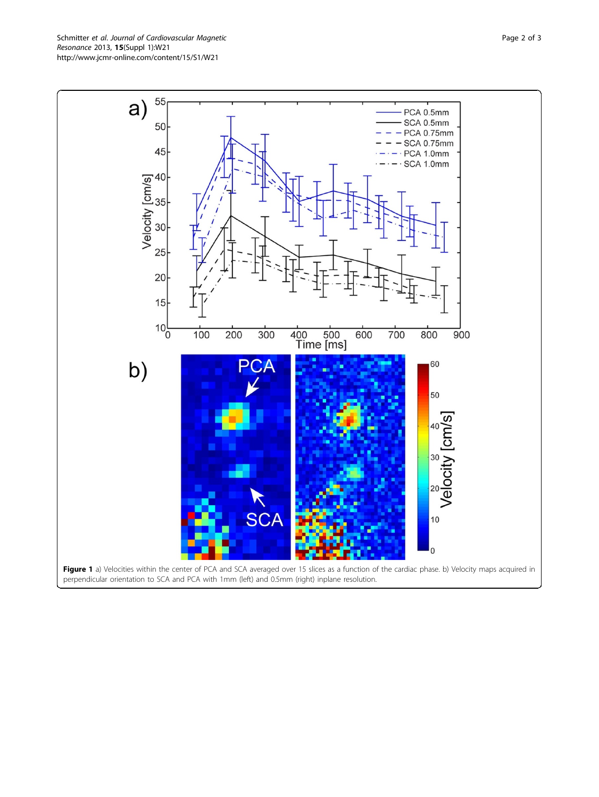<span id="page-1-0"></span>Schmitter et al. Journal of Cardiovascular Magnetic Resonance 2013, 15(Suppl 1):W21 http://www.jcmr-online.com/content/15/S1/W21